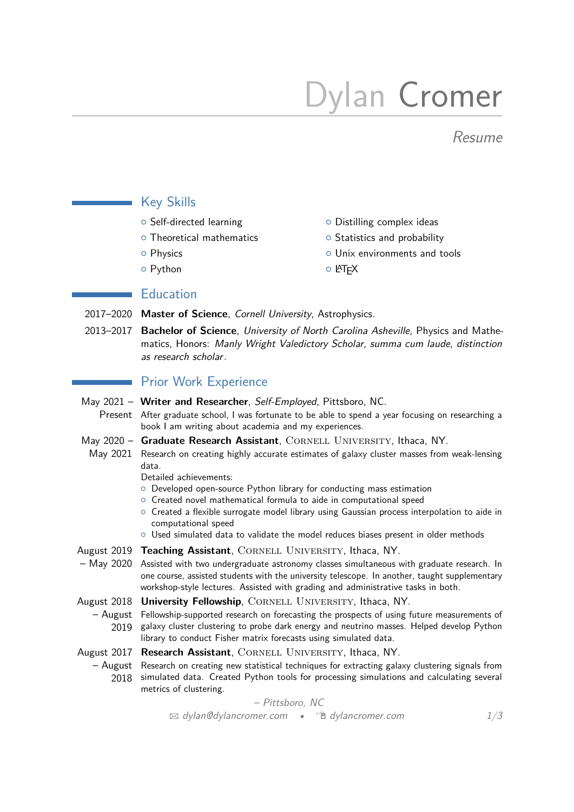# Dylan Cromer

Resume

## Key Skills

- 
- $\circ$  Theoretical mathematics  $\circ$  Statistics and probability
- 
- $\circ$  Python  $\circ$  ETFX
- $\circ$  Self-directed learning  $\circ$  Distilling complex ideas
	-
- **O** Physics **COVID-19 COVID-19 COVID-19 COVID-19 COVID-19 COVID-19 COVID-19 COVID-19 COVID-19 COVID-19 COVID-19 COVID-19 COVID-19 COVID-19 COVID-19 COVID-19 COVID-19 COVID-19 COVID-19 COVID-19 COVID-19 COVID-19 COVID-19 CO** 
	-

#### **Education**

- 2017–2020 **Master of Science**, Cornell University, Astrophysics.
- 2013–2017 **Bachelor of Science**, University of North Carolina Asheville, Physics and Mathematics, Honors: Manly Wright Valedictory Scholar, summa cum laude, distinction as research scholar.

### **Prior Work Experience**

- May 2021 Writer and Researcher, Self-Employed, Pittsboro, NC.
- Present After graduate school, I was fortunate to be able to spend a year focusing on researching a book I am writing about academia and my experiences.
- May 2020 Graduate Research Assistant, CORNELL UNIVERSITY, Ithaca, NY.
- May 2021 Research on creating highly accurate estimates of galaxy cluster masses from weak-lensing data.

Detailed achievements:

- { Developed open-source Python library for conducting mass estimation
- { Created novel mathematical formula to aide in computational speed
- o Created a flexible surrogate model library using Gaussian process interpolation to aide in computational speed
- $\circ$  Used simulated data to validate the model reduces biases present in older methods
- August 2019 Teaching Assistant, CORNELL UNIVERSITY, Ithaca, NY.
- May 2020 Assisted with two undergraduate astronomy classes simultaneous with graduate research. In one course, assisted students with the university telescope. In another, taught supplementary workshop-style lectures. Assisted with grading and administrative tasks in both.
- August 2018 University Fellowship, CORNELL UNIVERSITY, Ithaca, NY.
- August Fellowship-supported research on forecasting the prospects of using future measurements of 2019 galaxy cluster clustering to probe dark energy and neutrino masses. Helped develop Python library to conduct Fisher matrix forecasts using simulated data.
- August 2017 Research Assistant, CORNELL UNIVERSITY, Ithaca, NY.
	- August Research on creating new statistical techniques for extracting galaxy clustering signals from 2018 simulated data. Created Python tools for processing simulations and calculating several metrics of clustering.

\n
$$
- \text{Pittsboro}, \text{NC}
$$
\n
$$
= \text{QylanCdylancromer.com} \cdot \text{Qylancromer.com}
$$
\n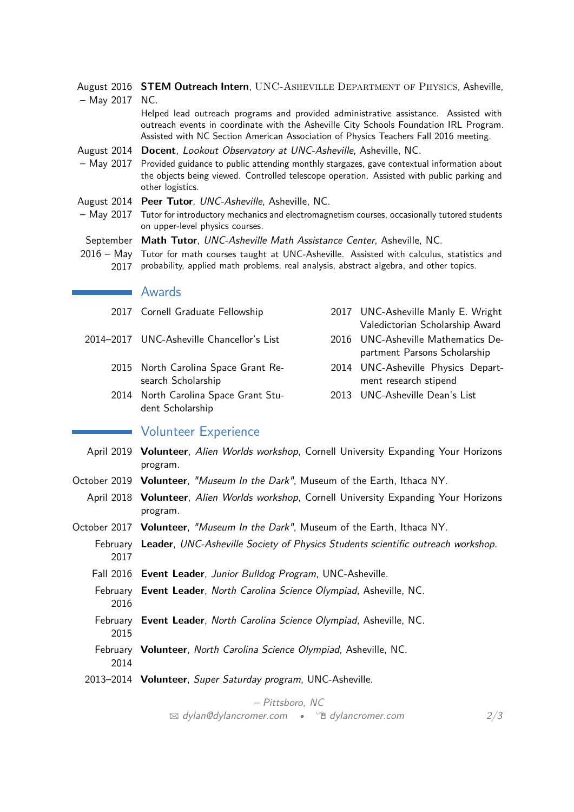- August 2016 **STEM Outreach Intern**, UNC-ASHEVILLE DEPARTMENT OF PHYSICS, Asheville,
- May 2017 NC.

Helped lead outreach programs and provided administrative assistance. Assisted with outreach events in coordinate with the Asheville City Schools Foundation IRL Program. Assisted with NC Section American Association of Physics Teachers Fall 2016 meeting.

- August 2014 **Docent**, Lookout Observatory at UNC-Asheville, Asheville, NC.
- May 2017 Provided guidance to public attending monthly stargazes, gave contextual information about the objects being viewed. Controlled telescope operation. Assisted with public parking and other logistics.
- August 2014 **Peer Tutor**, UNC-Asheville, Asheville, NC.
- May 2017 Tutor for introductory mechanics and electromagnetism courses, occasionally tutored students on upper-level physics courses.
- September **Math Tutor**, UNC-Asheville Math Assistance Center, Asheville, NC.
- 2016 May Tutor for math courses taught at UNC-Asheville. Assisted with calculus, statistics and 2017 probability, applied math problems, real analysis, abstract algebra, and other topics.

#### **Awards**

| 2017 Cornell Graduate Fellowship                          | 2017 UNC-Asheville Manly E. Wright<br>Valedictorian Scholarship Award |
|-----------------------------------------------------------|-----------------------------------------------------------------------|
| 2014–2017   UNC-Asheville Chancellor's List               | 2016 UNC-Asheville Mathematics De-<br>partment Parsons Scholarship    |
| 2015 North Carolina Space Grant Re-<br>search Scholarship | 2014 UNC-Asheville Physics Depart-<br>ment research stipend           |
| 2014 North Carolina Space Grant Stu-<br>dent Scholarship  | 2013 UNC-Asheville Dean's List                                        |
|                                                           |                                                                       |

#### **Wolunteer Experience**

- April 2019 **Volunteer**, Alien Worlds workshop, Cornell University Expanding Your Horizons program.
- October 2019 **Volunteer**, "Museum In the Dark", Museum of the Earth, Ithaca NY.
	- April 2018 **Volunteer**, Alien Worlds workshop, Cornell University Expanding Your Horizons program.
- October 2017 **Volunteer**, "Museum In the Dark", Museum of the Earth, Ithaca NY.
	- February **Leader**, UNC-Asheville Society of Physics Students scientific outreach workshop. 2017
		- Fall 2016 **Event Leader**, Junior Bulldog Program, UNC-Asheville.
		- February **Event Leader**, North Carolina Science Olympiad, Asheville, NC. 2016
		- February **Event Leader**, North Carolina Science Olympiad, Asheville, NC. 2015
		- February **Volunteer**, North Carolina Science Olympiad, Asheville, NC. 2014
	- 2013–2014 **Volunteer**, Super Saturday program, UNC-Asheville.

– Pittsboro, NC  $\boxtimes$  dylan $\mathbb{Q}$ [dylancromer.com](http://dylancromer.com) •  $\cong$  dylancromer.com 2[/3](#page-2-0)